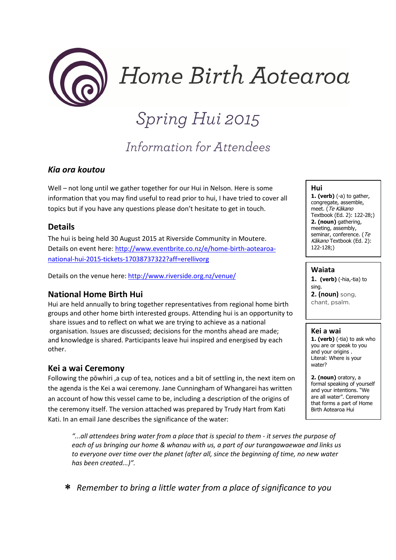

Home Birth Aotearoa

# *Spring Hui 2015*

# *Information for Attendees*

### Kia ora koutou

Well – not long until we gather together for our Hui in Nelson. Here is some information that you may find useful to read prior to hui, I have tried to cover all topics but if you have any questions please don't hesitate to get in touch.

#### Details

The hui is being held 30 August 2015 at Riverside Community in Moutere. Details on event here: http://www.eventbrite.co.nz/e/home-birth-aotearoanational-hui-2015-tickets-17038737322?aff=erellivorg

Details on the venue here: http://www.riverside.org.nz/venue/

#### National Home Birth Hui

Hui are held annually to bring together representatives from regional home birth groups and other home birth interested groups. Attending hui is an opportunity to share issues and to reflect on what we are trying to achieve as a national organisation. Issues are discussed; decisions for the months ahead are made; and knowledge is shared. Participants leave hui inspired and energised by each other.

#### Kei a wai Ceremony

Following the pōwhiri ,a cup of tea, notices and a bit of settling in, the next item on the agenda is the Kei a wai ceremony. Jane Cunningham of Whangarei has written an account of how this vessel came to be, including a description of the origins of the ceremony itself. The version attached was prepared by Trudy Hart from Kati Kati. In an email Jane describes the significance of the water:

"...all attendees bring water from a place that is special to them - it serves the purpose of each of us bringing our home & whanau with us, a part of our turangawaewae and links us to everyone over time over the planet (after all, since the beginning of time, no new water has been created...)".

Hui

**1. (verb)**  $(-a)$  to gather, congregate, assemble, meet. (Te Kākano Textbook (Ed. 2): 122-28;) 2. (noun) gathering, meeting, assembly, seminar, conference. (Te Kākano Textbook (Ed. 2): 122-128;)

#### Waiata

1. (verb) (-hia,-tia) to sing. 2. (noun) song, chant, psalm.

#### Kei a wai

1. (verb) (-tia) to ask who you are or speak to you and your origins . Literal: Where is your water?

2. (noun) oratory, a formal speaking of yourself and your intentions. "We are all water". Ceremony that forms a part of Home Birth Aotearoa Hui

∗ Remember to bring a little water from a place of significance to you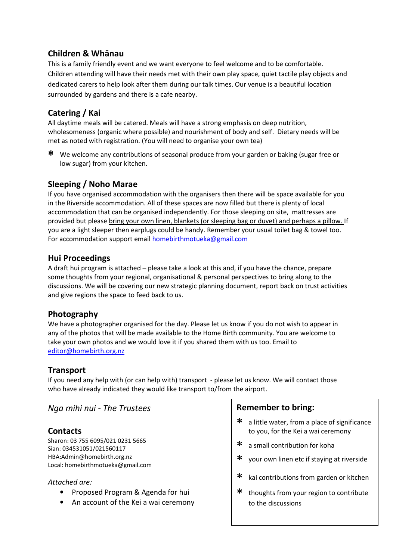# Children & Whānau

This is a family friendly event and we want everyone to feel welcome and to be comfortable. Children attending will have their needs met with their own play space, quiet tactile play objects and dedicated carers to help look after them during our talk times. Our venue is a beautiful location surrounded by gardens and there is a cafe nearby.

# Catering / Kai

All daytime meals will be catered. Meals will have a strong emphasis on deep nutrition, wholesomeness (organic where possible) and nourishment of body and self. Dietary needs will be met as noted with registration. (You will need to organise your own tea)

∗ We welcome any contributions of seasonal produce from your garden or baking (sugar free or low sugar) from your kitchen.

# Sleeping / Noho Marae

If you have organised accommodation with the organisers then there will be space available for you in the Riverside accommodation. All of these spaces are now filled but there is plenty of local accommodation that can be organised independently. For those sleeping on site, mattresses are provided but please bring your own linen, blankets (or sleeping bag or duvet) and perhaps a pillow. If you are a light sleeper then earplugs could be handy. Remember your usual toilet bag & towel too. For accommodation support email homebirthmotueka@gmail.com

#### Hui Proceedings

A draft hui program is attached – please take a look at this and, if you have the chance, prepare some thoughts from your regional, organisational & personal perspectives to bring along to the discussions. We will be covering our new strategic planning document, report back on trust activities and give regions the space to feed back to us.

# Photography

We have a photographer organised for the day. Please let us know if you do not wish to appear in any of the photos that will be made available to the Home Birth community. You are welcome to take your own photos and we would love it if you shared them with us too. Email to editor@homebirth.org.nz

# Transport

If you need any help with (or can help with) transport - please let us know. We will contact those who have already indicated they would like transport to/from the airport.

#### Nga mihi nui - The Trustees

# **Contacts**

Sharon: 03 755 6095/021 0231 5665 Sian: 034531051/021560117 HBA:Admin@homebirth.org.nz Local: homebirthmotueka@gmail.com

#### Attached are:

- Proposed Program & Agenda for hui
- An account of the Kei a wai ceremony

#### Remember to bring:

- ∗ a little water, from a place of significance to you, for the Kei a wai ceremony
- ∗ a small contribution for koha
- ∗ your own linen etc if staying at riverside
- ∗ kai contributions from garden or kitchen
- ∗ thoughts from your region to contribute to the discussions